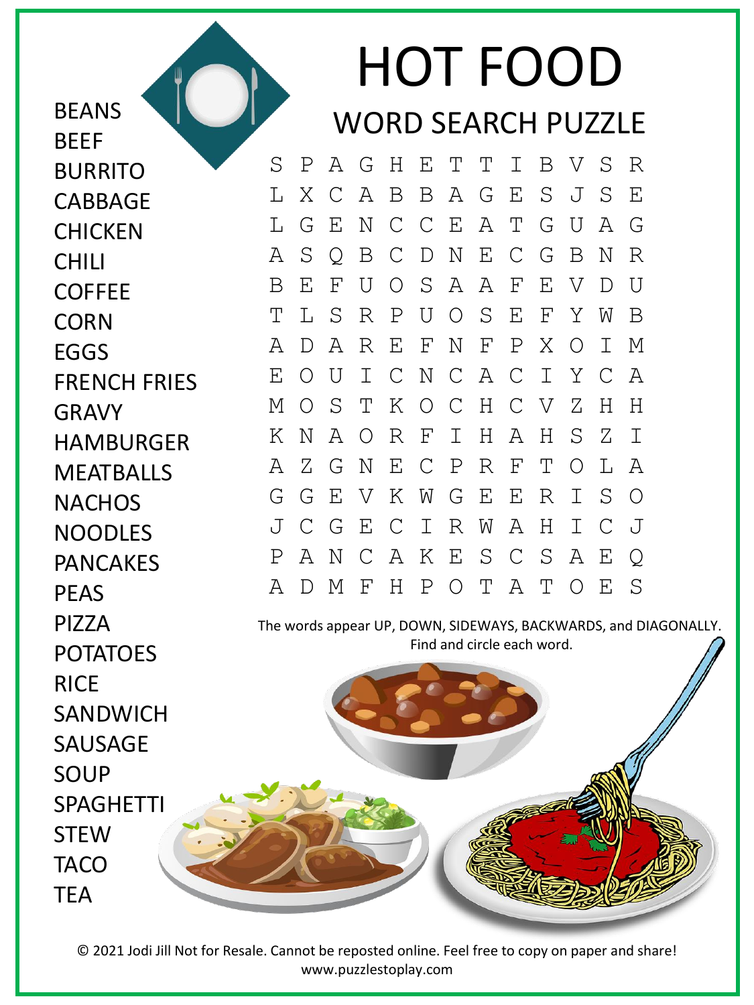HOT FOOD WORD SEARCH PUZZLE

S P A G H E T T I B V S R L X C A B B A G E S J S E L G E N C C E A T G U A G A S Q B C D N E C G B N R B E F U O S A A F E V D U T L S R P U O S E F Y W B A D A R E F N F P X O I M E O U I C N C A C I Y C A M O S T K O C H C V Z H H K N A O R F I H A H S Z I A Z G N E C P R F T O L A G G E V K W G E E R I S O J C G E C I R W A H I C J P A N C A K E S C S A E Q A D M F H P O T A T O E S

The words appear UP, DOWN, SIDEWAYS, BACKWARDS, and DIAGONALLY. Find and circle each word.

SANDWICH SAUSAGE SOUP SPAGHETTI **STEW** TACO **TFA** 

**BEANS** 

BURRITO

CABBAGE

**CHICKEN** 

CHILI

**COFFEE** 

**CORN** 

EGGS

GRAVY

FRENCH FRIES

HAMBURGER

**MEATBALLS** 

**NACHOS** 

NOODLES

PANCAKES

POTATOES

PEAS

PIZZA

RICE

**BFFF** 

© 2021 Jodi Jill Not for Resale. Cannot be reposted online. Feel free to copy on paper and share! www.puzzlestoplay.com